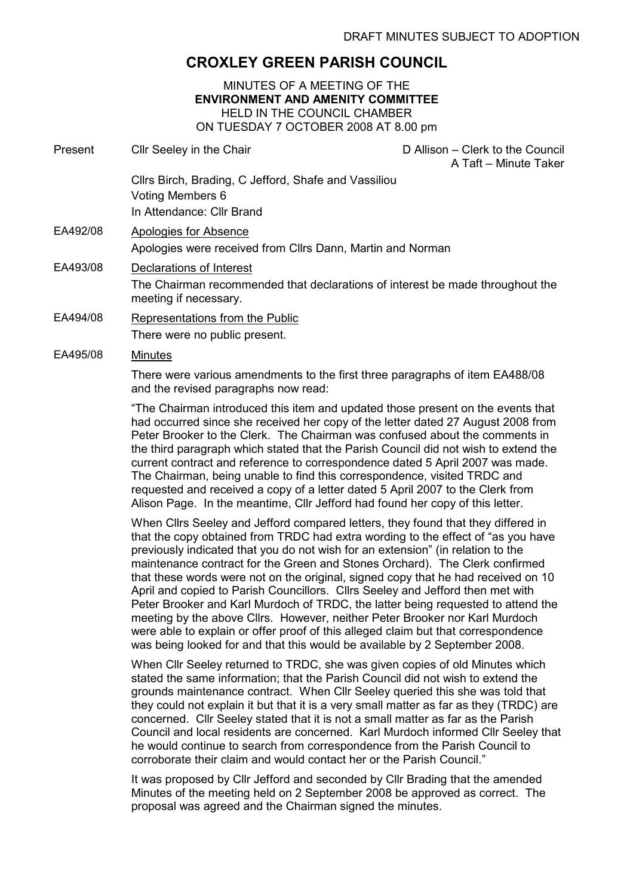# CROXLEY GREEN PARISH COUNCIL

MINUTES OF A MEETING OF THE ENVIRONMENT AND AMENITY COMMITTEE HELD IN THE COUNCIL CHAMBER ON TUESDAY 7 OCTOBER 2008 AT 8.00 pm

Present Cllr Seeley in the Chair Chair D Allison – Clerk to the Council A Taft – Minute Taker Cllrs Birch, Brading, C Jefford, Shafe and Vassiliou Voting Members 6 In Attendance: Cllr Brand EA492/08 Apologies for Absence Apologies were received from Cllrs Dann, Martin and Norman EA493/08 Declarations of Interest The Chairman recommended that declarations of interest be made throughout the meeting if necessary. EA494/08 Representations from the Public There were no public present. EA495/08 Minutes There were various amendments to the first three paragraphs of item EA488/08 and the revised paragraphs now read: "The Chairman introduced this item and updated those present on the events that had occurred since she received her copy of the letter dated 27 August 2008 from Peter Brooker to the Clerk. The Chairman was confused about the comments in the third paragraph which stated that the Parish Council did not wish to extend the current contract and reference to correspondence dated 5 April 2007 was made. The Chairman, being unable to find this correspondence, visited TRDC and requested and received a copy of a letter dated 5 April 2007 to the Clerk from Alison Page. In the meantime, Cllr Jefford had found her copy of this letter. When Cllrs Seeley and Jefford compared letters, they found that they differed in that the copy obtained from TRDC had extra wording to the effect of "as you have previously indicated that you do not wish for an extension" (in relation to the maintenance contract for the Green and Stones Orchard). The Clerk confirmed that these words were not on the original, signed copy that he had received on 10 April and copied to Parish Councillors. Cllrs Seeley and Jefford then met with

Peter Brooker and Karl Murdoch of TRDC, the latter being requested to attend the meeting by the above Cllrs. However, neither Peter Brooker nor Karl Murdoch were able to explain or offer proof of this alleged claim but that correspondence was being looked for and that this would be available by 2 September 2008.

When Cllr Seeley returned to TRDC, she was given copies of old Minutes which stated the same information; that the Parish Council did not wish to extend the grounds maintenance contract. When Cllr Seeley queried this she was told that they could not explain it but that it is a very small matter as far as they (TRDC) are concerned. Cllr Seeley stated that it is not a small matter as far as the Parish Council and local residents are concerned. Karl Murdoch informed Cllr Seeley that he would continue to search from correspondence from the Parish Council to corroborate their claim and would contact her or the Parish Council."

It was proposed by Cllr Jefford and seconded by Cllr Brading that the amended Minutes of the meeting held on 2 September 2008 be approved as correct. The proposal was agreed and the Chairman signed the minutes.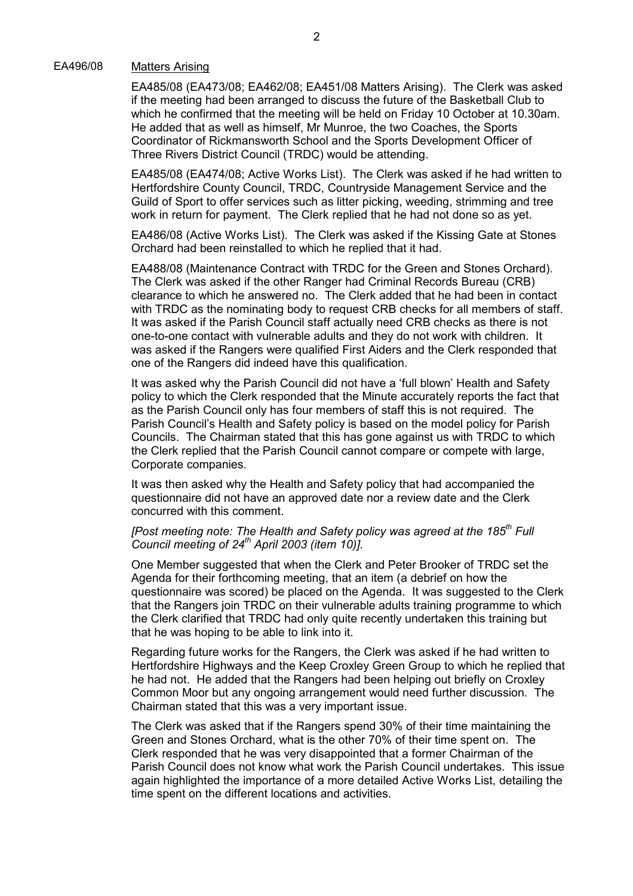### EA496/08 Matters Arising

EA485/08 (EA473/08; EA462/08; EA451/08 Matters Arising). The Clerk was asked if the meeting had been arranged to discuss the future of the Basketball Club to which he confirmed that the meeting will be held on Friday 10 October at 10.30am. He added that as well as himself, Mr Munroe, the two Coaches, the Sports Coordinator of Rickmansworth School and the Sports Development Officer of Three Rivers District Council (TRDC) would be attending.

EA485/08 (EA474/08; Active Works List). The Clerk was asked if he had written to Hertfordshire County Council, TRDC, Countryside Management Service and the Guild of Sport to offer services such as litter picking, weeding, strimming and tree work in return for payment. The Clerk replied that he had not done so as yet.

EA486/08 (Active Works List). The Clerk was asked if the Kissing Gate at Stones Orchard had been reinstalled to which he replied that it had.

EA488/08 (Maintenance Contract with TRDC for the Green and Stones Orchard). The Clerk was asked if the other Ranger had Criminal Records Bureau (CRB) clearance to which he answered no. The Clerk added that he had been in contact with TRDC as the nominating body to request CRB checks for all members of staff. It was asked if the Parish Council staff actually need CRB checks as there is not one-to-one contact with vulnerable adults and they do not work with children. It was asked if the Rangers were qualified First Aiders and the Clerk responded that one of the Rangers did indeed have this qualification.

It was asked why the Parish Council did not have a 'full blown' Health and Safety policy to which the Clerk responded that the Minute accurately reports the fact that as the Parish Council only has four members of staff this is not required. The Parish Council's Health and Safety policy is based on the model policy for Parish Councils. The Chairman stated that this has gone against us with TRDC to which the Clerk replied that the Parish Council cannot compare or compete with large, Corporate companies.

It was then asked why the Health and Safety policy that had accompanied the questionnaire did not have an approved date nor a review date and the Clerk concurred with this comment.

### [Post meeting note: The Health and Safety policy was agreed at the 185<sup>th</sup> Full Council meeting of  $24^{th}$  April 2003 (item 10)].

One Member suggested that when the Clerk and Peter Brooker of TRDC set the Agenda for their forthcoming meeting, that an item (a debrief on how the questionnaire was scored) be placed on the Agenda. It was suggested to the Clerk that the Rangers join TRDC on their vulnerable adults training programme to which the Clerk clarified that TRDC had only quite recently undertaken this training but that he was hoping to be able to link into it.

Regarding future works for the Rangers, the Clerk was asked if he had written to Hertfordshire Highways and the Keep Croxley Green Group to which he replied that he had not. He added that the Rangers had been helping out briefly on Croxley Common Moor but any ongoing arrangement would need further discussion. The Chairman stated that this was a very important issue.

The Clerk was asked that if the Rangers spend 30% of their time maintaining the Green and Stones Orchard, what is the other 70% of their time spent on. The Clerk responded that he was very disappointed that a former Chairman of the Parish Council does not know what work the Parish Council undertakes. This issue again highlighted the importance of a more detailed Active Works List, detailing the time spent on the different locations and activities.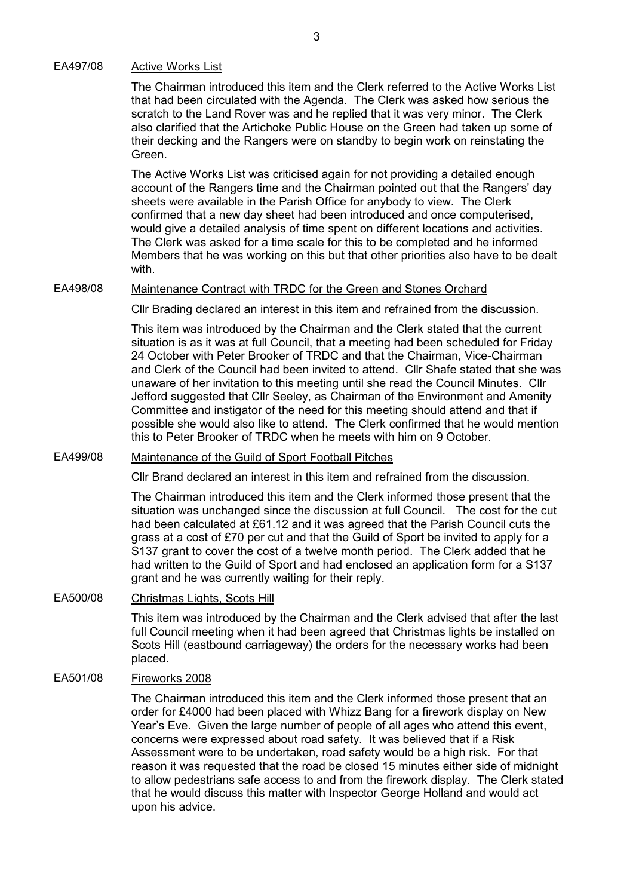# EA497/08 Active Works List

The Chairman introduced this item and the Clerk referred to the Active Works List that had been circulated with the Agenda. The Clerk was asked how serious the scratch to the Land Rover was and he replied that it was very minor. The Clerk also clarified that the Artichoke Public House on the Green had taken up some of their decking and the Rangers were on standby to begin work on reinstating the Green.

The Active Works List was criticised again for not providing a detailed enough account of the Rangers time and the Chairman pointed out that the Rangers' day sheets were available in the Parish Office for anybody to view. The Clerk confirmed that a new day sheet had been introduced and once computerised, would give a detailed analysis of time spent on different locations and activities. The Clerk was asked for a time scale for this to be completed and he informed Members that he was working on this but that other priorities also have to be dealt with.

# EA498/08 Maintenance Contract with TRDC for the Green and Stones Orchard

Cllr Brading declared an interest in this item and refrained from the discussion.

This item was introduced by the Chairman and the Clerk stated that the current situation is as it was at full Council, that a meeting had been scheduled for Friday 24 October with Peter Brooker of TRDC and that the Chairman, Vice-Chairman and Clerk of the Council had been invited to attend. Cllr Shafe stated that she was unaware of her invitation to this meeting until she read the Council Minutes. Cllr Jefford suggested that Cllr Seeley, as Chairman of the Environment and Amenity Committee and instigator of the need for this meeting should attend and that if possible she would also like to attend. The Clerk confirmed that he would mention this to Peter Brooker of TRDC when he meets with him on 9 October.

#### EA499/08 Maintenance of the Guild of Sport Football Pitches

Cllr Brand declared an interest in this item and refrained from the discussion.

The Chairman introduced this item and the Clerk informed those present that the situation was unchanged since the discussion at full Council. The cost for the cut had been calculated at £61.12 and it was agreed that the Parish Council cuts the grass at a cost of £70 per cut and that the Guild of Sport be invited to apply for a S137 grant to cover the cost of a twelve month period. The Clerk added that he had written to the Guild of Sport and had enclosed an application form for a S137 grant and he was currently waiting for their reply.

### EA500/08 Christmas Lights, Scots Hill

This item was introduced by the Chairman and the Clerk advised that after the last full Council meeting when it had been agreed that Christmas lights be installed on Scots Hill (eastbound carriageway) the orders for the necessary works had been placed.

#### EA501/08 Fireworks 2008

The Chairman introduced this item and the Clerk informed those present that an order for £4000 had been placed with Whizz Bang for a firework display on New Year's Eve. Given the large number of people of all ages who attend this event, concerns were expressed about road safety. It was believed that if a Risk Assessment were to be undertaken, road safety would be a high risk. For that reason it was requested that the road be closed 15 minutes either side of midnight to allow pedestrians safe access to and from the firework display. The Clerk stated that he would discuss this matter with Inspector George Holland and would act upon his advice.